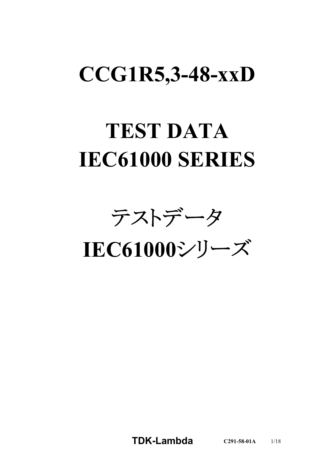# **CCG1R5,3-48-xxD**

# **TEST DATA IEC61000 SERIES**

テストデータ

**IEC61000**シリーズ

**TDK-Lambda C291-58-01A** 1/18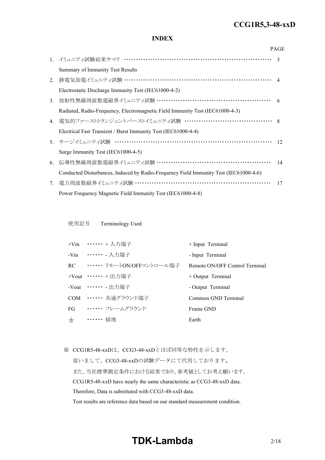#### *RWS 50B-600B Series* **CCG1R5,3-48-xxD**

# **INDEX**

|    |                                                                                       | <b>PAGE</b>   |
|----|---------------------------------------------------------------------------------------|---------------|
|    | 1. イミュニティ試験結果サマリ ……………………………………………………………                                              | $\mathcal{R}$ |
|    | Summary of Immunity Test Results                                                      |               |
| 2. | 静電気放電イミュニティ試験 …………………………………………………………… 4                                               |               |
|    | Electrostatic Discharge Immunity Test (IEC61000-4-2)                                  |               |
| 3. | 放射性無線周波数電磁界イミュニティ試験 ………………………………………………… 6                                             |               |
|    | Radiated, Radio-Frequency, Electromagnetic Field Immunity Test (IEC61000-4-3)         |               |
|    | 4. 電気的ファーストトランジェントバーストイミュニティ試験 …………………………………… 8                                       |               |
|    | Electrical Fast Transient / Burst Immunity Test (IEC61000-4-4)                        |               |
|    | 5. サージイミュニティ試験 ………………………………………………………………                                               | 12            |
|    | Surge Immunity Test (IEC61000-4-5)                                                    |               |
| 6. | 伝導性無線周波数電磁界イミュニティ試験 ………………………………………………                                                | 14            |
|    | Conducted Disturbances, Induced by Radio-Frequency Field Immunity Test (IEC61000-4-6) |               |
| 7. | 電力周波数磁界イミュニティ試験 ………………………………………………………                                                 | 17            |
|    | Power Frequency Magnetic Field Immunity Test (IEC61000-4-8)                           |               |

使用記号 Terminology Used

|       | +Vin …… + 入力端子                | $+$ Input Terminal             |
|-------|-------------------------------|--------------------------------|
|       | -Vin …… 入力端子                  | - Input Terminal               |
|       | RC ••••••• リモートON/OFFコントロール端子 | Remote ON/OFF Control Terminal |
|       | +Vout $\cdots \cdots$ + 出力端子  | $+$ Output Terminal            |
|       | -Vout ・・・・・・ - 出力端子           | - Output Terminal              |
|       | COM …… 共通グラウンド端子              | Common GND Terminal            |
| FG    | ・・・・・・・ フレームグラウンド             | Frame GND                      |
| $\pm$ | ・・・・・・ 接地                     | Earth                          |

※ CCG1R5-48-xxDは、CCG3-48-xxDとほぼ同等な特性を示します。 従いまして、CCG3-48-xxDの試験データにて代用しております。 また、当社標準測定条件における結果であり、参考値としてお考え願います。 CCG1R5-48-xxD have nearly the same characteristic as CCG3-48-xxD data. Therefore, Data is substituted with CCG3-48-xxD data. Test results are reference data based on our standard measurement condition.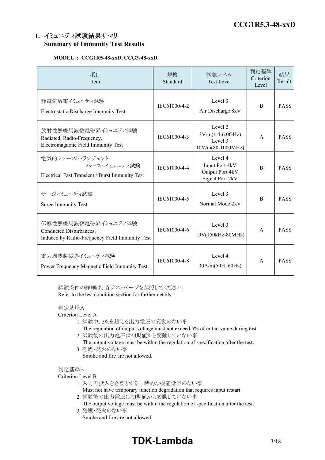# **1.** イミュニティ試験結果サマリ **Summary of Immunity Test Results**

# **MODEL : CCG1R5-48-xxD, CCG3-48-xxD**

| 項目<br>Item                                                                                       | 規格<br>Standard | 試験レベル<br><b>Test Level</b>                                      | 判定基準<br>Criterion<br>Level | 結果<br>Result |
|--------------------------------------------------------------------------------------------------|----------------|-----------------------------------------------------------------|----------------------------|--------------|
| 静電気放電イミュニティ試験<br>Electrostatic Discharge Immunity Test                                           | IEC61000-4-2   | Level 3<br>Air Discharge 8kV                                    | <sub>B</sub>               | <b>PASS</b>  |
| 放射性無線周波数電磁界イミュニティ試験<br>Radiated, Radio-Frequency,<br>Electromagnetic Field Immunity Test         | IEC61000-4-3   | Level 2<br>$3V/m(1.4-6.0GHz)$<br>Level 3<br>$10V/m(80-1000MHz)$ | $\mathsf{A}$               | <b>PASS</b>  |
| 電気的ファーストトランジェント<br>バーストイミュニティ試験<br>Electrical Fast Transient / Burst Immunity Test               | IEC61000-4-4   | Level 4<br>Input Port 4kV<br>Output Port 4kV<br>Signal Port 2kV | <sub>B</sub>               | <b>PASS</b>  |
| サージイミュニティ試験<br><b>Surge Immunity Test</b>                                                        | IEC61000-4-5   | Level 3<br>Normal Mode 2kV                                      | B                          | <b>PASS</b>  |
| 伝導性無線周波数電磁界イミュニティ試験<br>Conducted Disturbances,<br>Induced by Radio-Frequency Field Immunity Test | IEC61000-4-6   | Level 3<br>10V(150kHz-80MHz)                                    | $\mathsf{A}$               | <b>PASS</b>  |
| 電力周波数磁界イミュニティ試験<br>Power Frequency Magnetic Field Immunity Test                                  | IEC61000-4-8   | Level 4<br>30A/m(50H, 60Hz)                                     | $\mathsf{A}$               | <b>PASS</b>  |

試験条件の詳細は、各テストページを参照してください。 Refer to the test condition section for further details.

# 判定基準A

Criterion Level A

- 1. 試験中、5%を超える出力電圧の変動のない事
	- The regulation of output voltage must not exceed 5% of initial value during test.
- 2. 試験後の出力電圧は初期値から変動していない事
	- The output voltage must be within the regulation of specification after the test.
- 3. 発煙・発火のない事 Smoke and fire are not allowed.

#### 判定基準B

#### Criterion Level B

- 1. 入力再投入を必要とする一時的な機能低下のない事
	- Must not have temporary function degradation that requires input restart.
- 2. 試験後の出力電圧は初期値から変動していない事
- The output voltage must be within the regulation of specification after the test. 3. 発煙・発火のない事
	- Smoke and fire are not allowed.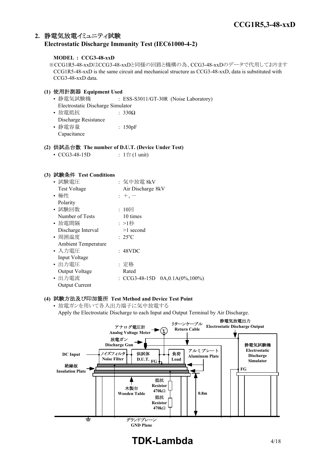# **2.** 静電気放電イミュニティ試験 **Electrostatic Discharge Immunity Test (IEC61000-4-2)**

## **MODEL : CCG3-48-xxD**

※CCG1R5-48-xxDはCCG3-48-xxDと同様の回路と機構の為、CCG3-48-xxDのデータで代用しております CCG1R5-48-xxD is the same circuit and mechanical structure as CCG3-48-xxD, data is substituted with CCG3-48-xxD data.

# **(1)** 使用計測器 **Equipment Used**

- 静電気試験機 : ESS-S3011/GT-30R (Noise Laboratory) Electrostatic Discharge Simulator • 放電抵抗 : 330Ω Discharge Resistance • 静電容量 | 150pF
- Capacitance

# **(2)** 供試品台数 **The number of D.U.T. (Device Under Test)**

• CCG3-48-15D :  $1 \oplus (1 \text{ unit})$ 

#### **(3)** 試験条件 **Test Conditions**

| • 試験電圧                     | :気中放電 8kV                            |
|----------------------------|--------------------------------------|
| <b>Test Voltage</b>        | Air Discharge 8kV                    |
| • 極性                       | $: +, -$                             |
| Polarity                   |                                      |
| • 試験回数                     | : $10\Box$                           |
| Number of Tests            | 10 times                             |
| • 放電間隔                     | :>1秒                                 |
| Discharge Interval         | $>1$ second                          |
| • 周囲温度                     | $: 25^{\circ}C$                      |
| <b>Ambient Temperature</b> |                                      |
| • 入力雷圧                     | : 48VDC                              |
| Input Voltage              |                                      |
| ・出力電圧                      | : 定格                                 |
| Output Voltage             | Rated                                |
| • 出力電流                     | : CCG3-48-15D $0A, 0.1A(0\%, 100\%)$ |
| <b>Output Current</b>      |                                      |

## **(4)** 試験方法及び印加箇所 **Test Method and Device Test Point**

• 放電ガンを用いて各入出力端子に気中放電する Apply the Electrostatic Discharge to each Input and Output Terminal by Air Discharge.



# **TDK-Lambda** 4/18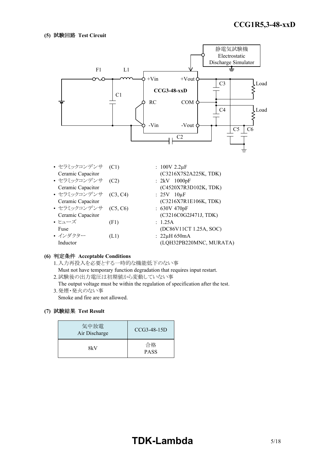

| • セラミックコンデンサ (C1) |          | : $100V 2.2 \mu F$      |
|-------------------|----------|-------------------------|
| Ceramic Capacitor |          | (C3216X7S2A225K, TDK)   |
| • セラミックコンデンサ      | (C2)     | : $2kV$ 1000pF          |
| Ceramic Capacitor |          | (C4520X7R3D102K, TDK)   |
| • セラミックコンデンサ      | (C3, C4) | : $25V$ 10 $\mu$ F      |
| Ceramic Capacitor |          | (C3216X7R1E106K, TDK)   |
| • セラミックコンデンサ      | (C5, C6) | : 630V 470pF            |
| Ceramic Capacitor |          | (C3216C0G2J471J, TDK)   |
| • ヒューズ            | (F1)     | : 1.25A                 |
| Fuse              |          | (DC86V11CT 1.25A, SOC)  |
| • インダクター          | (L1)     | $: 22\mu H 650mA$       |
| Inductor          |          | (LQH32PB220MNC, MURATA) |

#### **(6)** 判定条件 **Acceptable Conditions**

1.入力再投入を必要とする一時的な機能低下のない事 Must not have temporary function degradation that requires input restart. 2.試験後の出力電圧は初期値から変動していない事

The output voltage must be within the regulation of specification after the test. 3.発煙・発火のない事

Smoke and fire are not allowed.

| 気中放電<br>Air Discharge | $CCG3-48-15D$     |
|-----------------------|-------------------|
| 8kV                   | 合格<br><b>PASS</b> |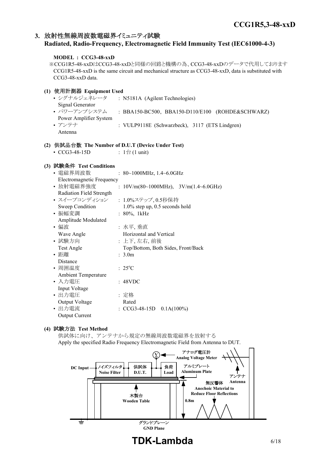# **3.** 放射性無線周波数電磁界イミュニティ試験

# **Radiated, Radio-Frequency, Electromagnetic Field Immunity Test (IEC61000-4-3)**

### **MODEL : CCG3-48-xxD**

※CCG1R5-48-xxDはCCG3-48-xxDと同様の回路と機構の為、CCG3-48-xxDのデータで代用しております CCG1R5-48-xxD is the same circuit and mechanical structure as CCG3-48-xxD, data is substituted with CCG3-48-xxD data.

## **(1)** 使用計測器 **Equipment Used**

| • シグナルジェネレータ           | : N5181A (Agilent Technologies)                  |
|------------------------|--------------------------------------------------|
| Signal Generator       |                                                  |
| • パワーアンプシステム           | : BBA150-BC500, BBA150-D110/E100 (ROHDE&SCHWARZ) |
| Power Amplifier System |                                                  |
| • アンテナ                 | : VULP9118E (Schwarzbeck), 3117 (ETS Lindgren)   |
| Antenna                |                                                  |

#### **(2)** 供試品台数 **The Number of D.U.T (Device Under Test)**

•  $CCG3-48-15D$  :  $1 \oplus (1 \text{ unit})$ 

#### **(3)** 試験条件 **Test Conditions**

| • 電磁界周波数                   | : $80~1000$ MHz, $1.4~6.0$ GHz                                                               |  |  |  |
|----------------------------|----------------------------------------------------------------------------------------------|--|--|--|
| Electromagnetic Frequency  |                                                                                              |  |  |  |
| • 放射電磁界強度                  | : $10 \text{V/m}(80 \text{~} 1000 \text{MHz})$ , $3 \text{V/m}(1.4 \text{~} 6.0 \text{GHz})$ |  |  |  |
| Radiation Field Strength   |                                                                                              |  |  |  |
| • スイープコンディション              | : 1.0%ステップ,0.5秒保持                                                                            |  |  |  |
| Sweep Condition            | 1.0% step up, 0.5 seconds hold                                                               |  |  |  |
| • 振幅変調                     | $: 80\%, 1kHz$                                                                               |  |  |  |
| Amplitude Modulated        |                                                                                              |  |  |  |
| • 偏波                       | :水平, 垂直                                                                                      |  |  |  |
| Wave Angle                 | Horizontal and Vertical                                                                      |  |  |  |
| • 試験方向                     | : 上下, 左右, 前後                                                                                 |  |  |  |
| Test Angle                 | Top/Bottom, Both Sides, Front/Back                                                           |  |  |  |
| • 距離                       | : 3.0m                                                                                       |  |  |  |
| Distance                   |                                                                                              |  |  |  |
| • 周囲温度                     | $: 25^{\circ}C$                                                                              |  |  |  |
| <b>Ambient Temperature</b> |                                                                                              |  |  |  |
| • 入力雷圧                     | : 48VDC                                                                                      |  |  |  |
| Input Voltage              |                                                                                              |  |  |  |
| • 出力電圧                     | :定格                                                                                          |  |  |  |
| Output Voltage             | Rated                                                                                        |  |  |  |
| • 出力電流                     | : $CCG3-48-15D$ $0.1A(100%)$                                                                 |  |  |  |
| <b>Output Current</b>      |                                                                                              |  |  |  |

# **(4)** 試験方法 **Test Method**

供試体に向け、アンテナから規定の無線周波数電磁界を放射する Apply the specified Radio Frequency Electromagnetic Field from Antenna to DUT.

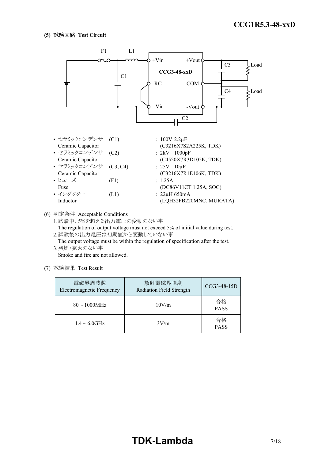

(6) 判定条件 Acceptable Conditions

1.試験中、5%を超える出力電圧の変動のない事 The regulation of output voltage must not exceed 5% of initial value during test. 2.試験後の出力電圧は初期値から変動していない事

The output voltage must be within the regulation of specification after the test. 3.発煙・発火のない事

Smoke and fire are not allowed.

| 電磁界周波数<br>Electromagnetic Frequency | 放射電磁界強度<br>Radiation Field Strength | CCG3-48-15D       |
|-------------------------------------|-------------------------------------|-------------------|
| $80 \sim 1000 MHz$                  | 10V/m                               | 合格<br><b>PASS</b> |
| $1.4 \sim 6.0$ GHz                  | 3V/m                                | 合格<br><b>PASS</b> |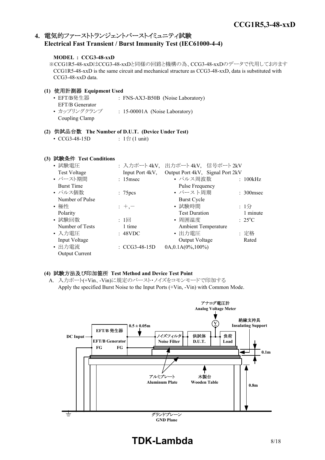# **4.** 電気的ファーストトランジェントバーストイミュニティ試験 **Electrical Fast Transient / Burst Immunity Test (IEC61000-4-4)**

## **MODEL : CCG3-48-xxD**

※CCG1R5-48-xxDはCCG3-48-xxDと同様の回路と機構の為、CCG3-48-xxDのデータで代用しております CCG1R5-48-xxD is the same circuit and mechanical structure as CCG3-48-xxD, data is substituted with CCG3-48-xxD data.

#### **(1)** 使用計測器 **Equipment Used** • EFT/B発生器 : FNS-AX3-B50B (Noise Laboratory) EFT/B Generator • カップリングクランプ : 15-00001A (Noise Laboratory) Coupling Clamp

#### **(2)** 供試品台数 **The Number of D.U.T. (Device Under Test)**

• CCG3-48-15D :  $1 \oplus (1 \text{ unit})$ 

# **(3)** 試験条件 **Test Conditions**

| • 試験電圧                | : 入力ポート4kV,              | 出力ポート4kV, 信号ポート2kV               |                 |
|-----------------------|--------------------------|----------------------------------|-----------------|
| <b>Test Voltage</b>   | Input Port 4kV,          | Output Port 4kV, Signal Port 2kV |                 |
| • バースト期間              | $: 15$ msec              | • パルス周波数                         | : 100kHz        |
| <b>Burst Time</b>     |                          | Pulse Frequency                  |                 |
| • パルス個数               | : 75 <sub>pres</sub>     | • バースト周期                         | $: 300$ msec    |
| Number of Pulse       |                          | <b>Burst Cycle</b>               |                 |
| • 極性                  | $: +,-$                  | • 試験時間                           | : $1/2$         |
| Polarity              |                          | <b>Test Duration</b>             | 1 minute        |
| • 試験回数                | $: 1 \square$            | • 周囲温度                           | $: 25^{\circ}C$ |
| Number of Tests       | 1 time                   | <b>Ambient Temperature</b>       |                 |
| • 入力電圧                | : 48VDC                  | • 出力電圧                           | : 定格            |
| Input Voltage         |                          | Output Voltage                   | Rated           |
| • 出力電流                | $\therefore$ CCG3-48-15D | $0A, 0.1A(0\%, 100\%)$           |                 |
| <b>Output Current</b> |                          |                                  |                 |

#### **(4)** 試験方法及び印加箇所 **Test Method and Device Test Point**

A. 入力ポート(+Vin、-Vin)に規定のバースト・ノイズをコモンモードで印加する Apply the specified Burst Noise to the Input Ports (+Vin, -Vin) with Common Mode.



**TDK-Lambda** 8/18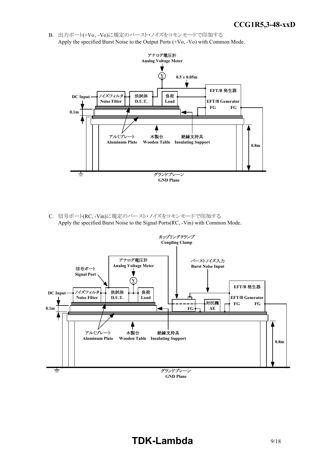B. 出力ポート(+Vo、-Vo)に規定のバースト・ノイズをコモンモードで印加する Apply the specified Burst Noise to the Output Ports (+Vo, -Vo) with Common Mode.



C. 信号ポート(RC, -Vin)に規定のバースト・ノイズをコモンモードで印加する Apply the specified Burst Noise to the Signal Ports(RC, -Vin) with Common Mode.



# **TDK-Lambda** 9/18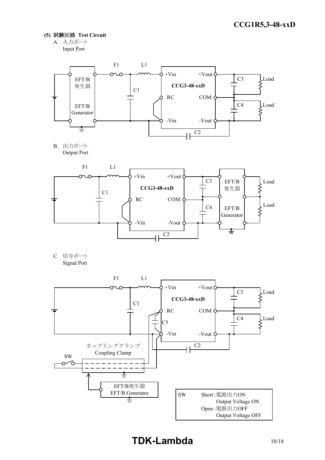- **(5)** 試験回路 **Test Circuit**
	- A. 入力ポート Input Port



B. 出力ポート Output Port



C. 信号ポート Signal Port

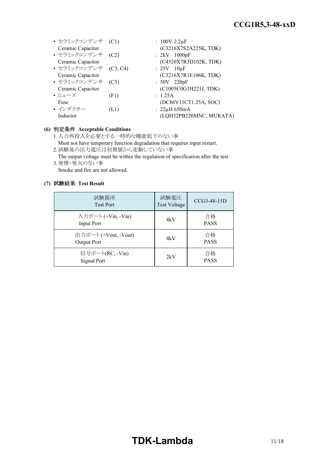#### *RWS 50B-600B Series* **CCG1R5,3-48-xxD**

| • セラミックコンデンサ (C1)<br>Ceramic Capacitor |          | : $100V 2.2 \mu F$<br>(C3216X7S2A225K, TDK) |
|----------------------------------------|----------|---------------------------------------------|
| • セラミックコンデンサ                           | (C2)     | $: 2kV$ 1000pF                              |
| Ceramic Capacitor                      |          | (C4520X7R3D102K, TDK)                       |
| • セラミックコンデンサ                           | (C3, C4) | $: 25V$ 10 $\mu$ F                          |
| Ceramic Capacitor                      |          | (C3216X7R1E106K, TDK)                       |
| • セラミックコンデンサ                           | (C5)     | $: 50V$ 220pF                               |
| Ceramic Capacitor                      |          | (C1005C0G1H221J, TDK)                       |
| • ヒューズ                                 | (F1)     | : 1.25A                                     |
| Fuse                                   |          | (DC86V11CT1.25A, SOC)                       |
| • インダクター                               | (L1)     | $: 22\mu H 650mA$                           |
| Inductor                               |          | (LQH32PB220MNC, MURATA)                     |
|                                        |          |                                             |

# **(6)** 判定条件 **Acceptable Conditions**

- 1.入力再投入を必要とする一時的な機能低下のない事 Must not have temporary function degradation that requires input restart.
- 2.試験後の出力電圧は初期値から変動していない事

The output voltage must be within the regulation of specification after the test. 3.発煙・発火のない事

Smoke and fire are not allowed.

| 試験箇所<br><b>Test Port</b>                | 試験電圧<br><b>Test Voltage</b> | $CCG3-48-15D$     |
|-----------------------------------------|-----------------------------|-------------------|
| 入力ポート (+Vin, -Vin)<br><b>Input Port</b> | 4kV                         | 合格<br><b>PASS</b> |
| 出力ポート (+Vout, -Vout)<br>Output Port     | 4kV                         | 合格<br><b>PASS</b> |
| 信号ポート(RC, -Vin)<br>Signal Port          | 2kV                         | 合格<br><b>PASS</b> |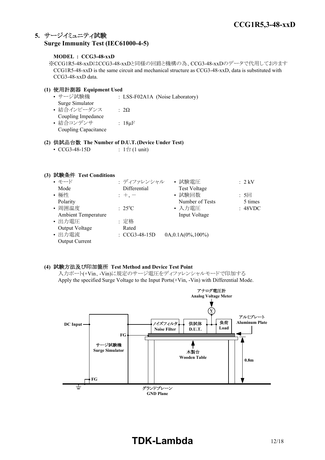# **5.** サージイミュニティ試験 **Surge Immunity Test (IEC61000-4-5)**

## **MODEL : CCG3-48-xxD**

※CCG1R5-48-xxDはCCG3-48-xxDと同様の回路と機構の為、CCG3-48-xxDのデータで代用しております CCG1R5-48-xxD is the same circuit and mechanical structure as CCG3-48-xxD, data is substituted with CCG3-48-xxD data.

# **(1)** 使用計測器 **Equipment Used**

• サージ試験機 : LSS-F02A1A (Noise Laboratory) Surge Simulator • 結合インピーダンス : 2Ω Coupling Impedance • 結合コンデンサ : 18μF Coupling Capacitance

## **(2)** 供試品台数 **The Number of D.U.T.(Device Under Test)**

• CCG3-48-15D :  $1 \oplus (1 \text{ unit})$ 

# **(3)** 試験条件 **Test Conditions**

| • モード               | : ディファレンシャル              | • 試験電圧                 | $: 2$ kV |
|---------------------|--------------------------|------------------------|----------|
| Mode                | Differential             | <b>Test Voltage</b>    |          |
| • 極性                | $: +, -$                 | • 試験回数                 | : 5回     |
| Polarity            |                          | Number of Tests        | 5 times  |
| • 周囲温度              | $: 25^{\circ}C$          | • 入力電圧                 | : 48VDC  |
| Ambient Temperature |                          | Input Voltage          |          |
| • 出力電圧              | : 定格                     |                        |          |
| Output Voltage      | Rated                    |                        |          |
| • 出力電流              | $\therefore$ CCG3-48-15D | $0A, 0.1A(0\%, 100\%)$ |          |
| Output Current      |                          |                        |          |

# **(4)** 試験方法及び印加箇所 **Test Method and Device Test Point**

入力ポート(+Vin、-Vin)に規定のサージ電圧をディファレンシャルモードで印加する Apply the specified Surge Voltage to the Input Ports(+Vin, -Vin) with Differential Mode.

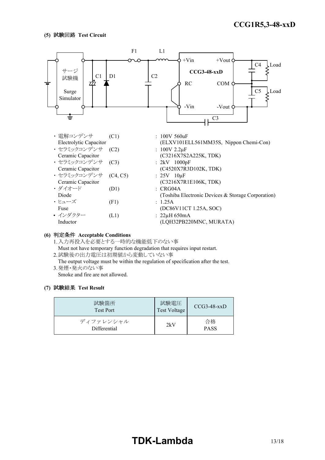

#### **(6)** 判定条件 **Acceptable Conditions**

1.入力再投入を必要とする一時的な機能低下のない事 Must not have temporary function degradation that requires input restart.

2.試験後の出力電圧は初期値から変動していない事

The output voltage must be within the regulation of specification after the test. 3.発煙・発火のない事

Smoke and fire are not allowed.

| 試験箇所<br><b>Test Port</b>  | 試験電圧<br>Test Voltage | $CCG3-48-xxD$     |
|---------------------------|----------------------|-------------------|
| ディファレンシャル<br>Differential | 2kV                  | 合格<br><b>PASS</b> |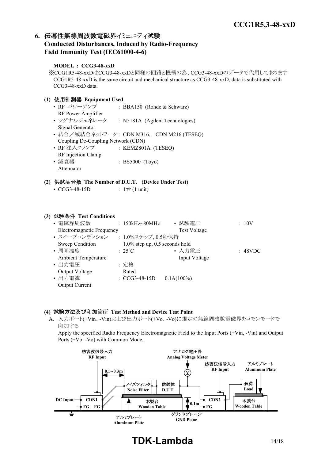# **6.** 伝導性無線周波数電磁界イミュニティ試験 **Conducted Disturbances, Induced by Radio-Frequency**

# **Field Immunity Test (IEC61000-4-6)**

# **MODEL : CCG3-48-xxD**

※CCG1R5-48-xxDはCCG3-48-xxDと同様の回路と機構の為、CCG3-48-xxDのデータで代用しております CCG1R5-48-xxD is the same circuit and mechanical structure as CCG3-48-xxD, data is substituted with CCG3-48-xxD data.

# **(1)** 使用計測器 **Equipment Used**

| • RF パワーアンプ                        | : BBA150 (Rohde & Schwarz)                 |
|------------------------------------|--------------------------------------------|
| RF Power Amplifier                 |                                            |
| • シグナルジェネレータ                       | : N5181A (Agilent Technologies)            |
| Signal Generator                   |                                            |
|                                    | • 結合/減結合ネットワーク: CDN M316, CDN M216 (TESEQ) |
| Coupling De-Coupling Network (CDN) |                                            |
| • RF 注入クランプ                        | : KEMZ801A $(TESEQ)$                       |
| RF Injection Clamp                 |                                            |
| • 減衰器                              | $: BS5000$ (Toyo)                          |
| Attenuator                         |                                            |

## **(2)** 供試品台数 **The Number of D.U.T. (Device Under Test)**

## **(3)** 試験条件 **Test Conditions**

| • 電磁界周波数                         |                 | $: 150kHz \sim 80MHz$    | • 試験電圧                            | :10V    |
|----------------------------------|-----------------|--------------------------|-----------------------------------|---------|
| <b>Electromagnetic Frequency</b> |                 |                          | <b>Test Voltage</b>               |         |
| • スイープコンディション                    |                 | : 1.0%ステップ, 0.5秒保持       |                                   |         |
| Sweep Condition                  |                 |                          | $1.0\%$ step up, 0.5 seconds hold |         |
| • 周囲温度                           | $: 25^{\circ}C$ |                          | • 入力電圧                            | : 48VDC |
| <b>Ambient Temperature</b>       |                 |                          | Input Voltage                     |         |
| • 出力電圧                           | : 定格            |                          |                                   |         |
| Output Voltage                   | Rated           |                          |                                   |         |
| • 出力電流                           |                 | $\therefore$ CCG3-48-15D | $0.1A(100\%)$                     |         |
| <b>Output Current</b>            |                 |                          |                                   |         |

# **(4)** 試験方法及び印加箇所 **Test Method and Device Test Point**

A. 入力ポート(+Vin、-Vin)および出力ポート(+Vo、-Vo)に規定の無線周波数電磁界をコモンモードで 印加する

Apply the specified Radio Frequency Electromagnetic Field to the Input Ports (+Vin, -Vin) and Output Ports (+Vo, -Vo) with Common Mode.



# **TDK-Lambda** 14/18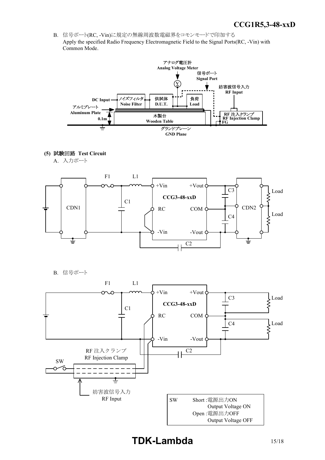*INSTRUCTION MANUAL* B. 信号ポート(RC, -Vin)に規定の無線周波数電磁界をコモンモードで印加する Apply the specified Radio Frequency Electromagnetic Field to the Signal Ports(RC, -Vin) with Common Mode.



**(5)** 試験回路 **Test Circuit**

A. 入力ポート



B. 信号ポート

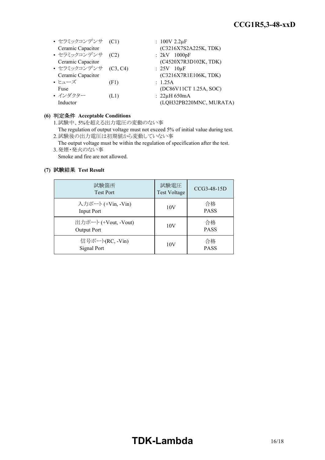#### *RWS 50B-600B Series* **CCG1R5,3-48-xxD**

| • セラミックコンデンサ (C1)     |      | : $100V 2.2 \mu F$      |
|-----------------------|------|-------------------------|
| Ceramic Capacitor     |      | (C3216X7S2A225K, TDK)   |
| • セラミックコンデンサ          | (C2) | $: 2kV$ 1000pF          |
| Ceramic Capacitor     |      | (C4520X7R3D102K, TDK)   |
| • セラミックコンデンサ (C3, C4) |      | $: 25V$ 10 $\mu$ F      |
| Ceramic Capacitor     |      | (C3216X7R1E106K, TDK)   |
| • ヒューズ                | (F1) | : 1.25A                 |
| Fuse                  |      | (DC86V11CT 1.25A, SOC)  |
| • インダクター              | (L1) | $: 22\mu H 650mA$       |
| Inductor              |      | (LQH32PB220MNC, MURATA) |

#### **(6)** 判定条件 **Acceptable Conditions**

1.試験中、5%を超える出力電圧の変動のない事

- The regulation of output voltage must not exceed 5% of initial value during test. 2.試験後の出力電圧は初期値から変動していない事
- The output voltage must be within the regulation of specification after the test. 3.発煙・発火のない事

Smoke and fire are not allowed.

#### **(7)** 試験結果 **Test Result**

| 試験箇所<br><b>Test Port</b>            | 試験電圧<br><b>Test Voltage</b> | CCG3-48-15D       |
|-------------------------------------|-----------------------------|-------------------|
| 入力ポート (+Vin, -Vin)<br>Input Port    | 10V                         | 合格<br><b>PASS</b> |
| 出力ポート (+Vout, -Vout)<br>Output Port | 10V                         | 合格<br><b>PASS</b> |
| 信号ポート(RC, -Vin)<br>Signal Port      | 10V                         | 合格<br><b>PASS</b> |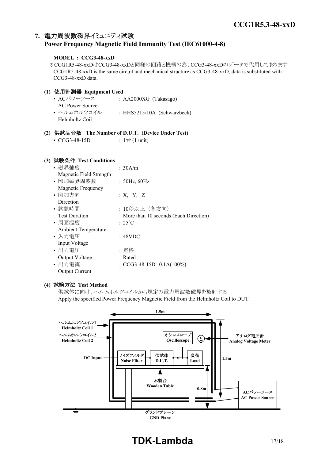# **7.** 電力周波数磁界イミュニティ試験 **Power Frequency Magnetic Field Immunity Test (IEC61000-4-8)**

### **MODEL : CCG3-48-xxD**

※CCG1R5-48-xxDはCCG3-48-xxDと同様の回路と機構の為、CCG3-48-xxDのデータで代用しております CCG1R5-48-xxD is the same circuit and mechanical structure as CCG3-48-xxD, data is substituted with CCG3-48-xxD data.

## **(1)** 使用計測器 **Equipment Used**

• ACパワーソース : AA2000XG (Takasago) AC Power Source • ヘルムホルツコイル : HHS5215/10A (Schwarzbeck) Helmholtz Coil

# **(2)** 供試品台数 **The Number of D.U.T. (Device Under Test)**

• CCG3-48-15D :  $1 \oplus (1 \text{ unit})$ 

# **(3)** 試験条件 **Test Conditions**

| • 磁界強度                     | : 30A/m                               |
|----------------------------|---------------------------------------|
| Magnetic Field Strength    |                                       |
| • 印加磁界周波数                  | : 50Hz, 60Hz                          |
| Magnetic Frequency         |                                       |
| • 印加方向                     | : X, Y, Z                             |
| Direction                  |                                       |
| • 試験時間                     | : 10秒以上(各方向)                          |
| <b>Test Duration</b>       | More than 10 seconds (Each Direction) |
| • 周囲温度                     | $: 25^{\circ}C$                       |
| <b>Ambient Temperature</b> |                                       |
| • 入力電圧                     | : 48VDC                               |
| Input Voltage              |                                       |
| • 出力電圧                     | : 定格                                  |
| Output Voltage             | Rated                                 |
| • 出力電流                     | : $CCG3-48-15D$ $0.1A(100%)$          |
| <b>Output Current</b>      |                                       |

#### **(4)** 試験方法 **Test Method**

供試体に向け、ヘルムホルツコイルから規定の電力周波数磁界を放射する Apply the specified Power Frequency Magnetic Field from the Helmholtz Coil to DUT.



# **TDK-Lambda** 17/18